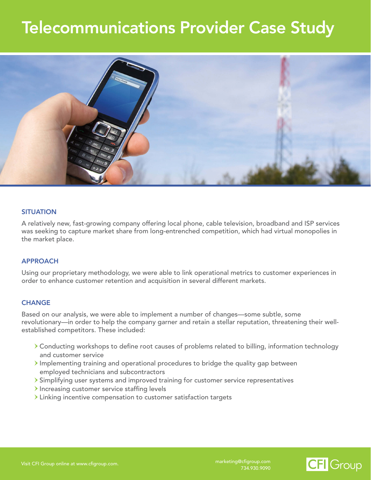# Telecommunications Provider Case Study



## **SITUATION**

A relatively new, fast-growing company offering local phone, cable television, broadband and ISP services was seeking to capture market share from long-entrenched competition, which had virtual monopolies in the market place.

#### APPROACH

Using our proprietary methodology, we were able to link operational metrics to customer experiences in order to enhance customer retention and acquisition in several different markets.

#### **CHANGE**

Based on our analysis, we were able to implement a number of changes—some subtle, some revolutionary—in order to help the company garner and retain a stellar reputation, threatening their wellestablished competitors. These included:

- Conducting workshops to define root causes of problems related to billing, information technology and customer service
- $\rightarrow$  Implementing training and operational procedures to bridge the quality gap between employed technicians and subcontractors
- Simplifying user systems and improved training for customer service representatives
- $\blacktriangleright$  Increasing customer service staffing levels
- Linking incentive compensation to customer satisfaction targets